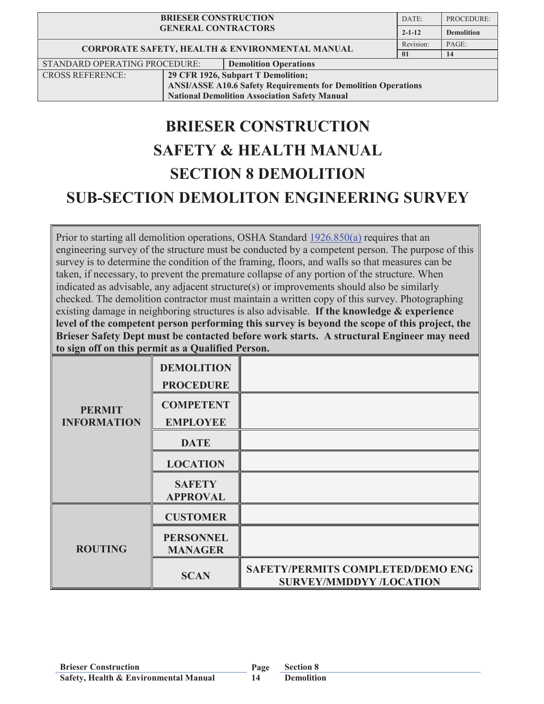| <b>BRIESER CONSTRUCTION</b><br><b>GENERAL CONTRACTORS</b>            |                                    | DATE:                        | PROCEDURE:        |       |
|----------------------------------------------------------------------|------------------------------------|------------------------------|-------------------|-------|
|                                                                      |                                    | $2 - 1 - 12$                 | <b>Demolition</b> |       |
| <b>CORPORATE SAFETY, HEALTH &amp; ENVIRONMENTAL MANUAL</b>           |                                    |                              | Revision:         | PAGE: |
|                                                                      |                                    |                              | $\mathbf{0}$ 1    | 14    |
| STANDARD OPERATING PROCEDURE:                                        |                                    | <b>Demolition Operations</b> |                   |       |
| <b>CROSS REFERENCE:</b>                                              | 29 CFR 1926, Subpart T Demolition; |                              |                   |       |
| <b>ANSI/ASSE A10.6 Safety Requirements for Demolition Operations</b> |                                    |                              |                   |       |

**National Demolition Association Safety Manual**

# **BRIESER CONSTRUCTION SAFETY & HEALTH MANUAL SECTION 8 DEMOLITION SUB-SECTION DEMOLITON ENGINEERING SURVEY**

Prior to starting all demolition operations, OSHA Standard 1926.850(a) requires that an engineering survey of the structure must be conducted by a competent person. The purpose of this survey is to determine the condition of the framing, floors, and walls so that measures can be taken, if necessary, to prevent the premature collapse of any portion of the structure. When indicated as advisable, any adjacent structure(s) or improvements should also be similarly checked. The demolition contractor must maintain a written copy of this survey. Photographing existing damage in neighboring structures is also advisable. **If the knowledge & experience level of the competent person performing this survey is beyond the scope of this project, the Brieser Safety Dept must be contacted before work starts. A structural Engineer may need to sign off on this permit as a Qualified Person.**

| <b>PERMIT</b><br><b>INFORMATION</b> | <b>DEMOLITION</b><br><b>PROCEDURE</b> |                                                                            |
|-------------------------------------|---------------------------------------|----------------------------------------------------------------------------|
|                                     | <b>COMPETENT</b><br><b>EMPLOYEE</b>   |                                                                            |
|                                     | <b>DATE</b>                           |                                                                            |
|                                     | <b>LOCATION</b>                       |                                                                            |
|                                     | <b>SAFETY</b><br><b>APPROVAL</b>      |                                                                            |
|                                     | <b>CUSTOMER</b>                       |                                                                            |
| <b>ROUTING</b>                      | <b>PERSONNEL</b><br><b>MANAGER</b>    |                                                                            |
|                                     | <b>SCAN</b>                           | <b>SAFETY/PERMITS COMPLETED/DEMO ENG</b><br><b>SURVEY/MMDDYY /LOCATION</b> |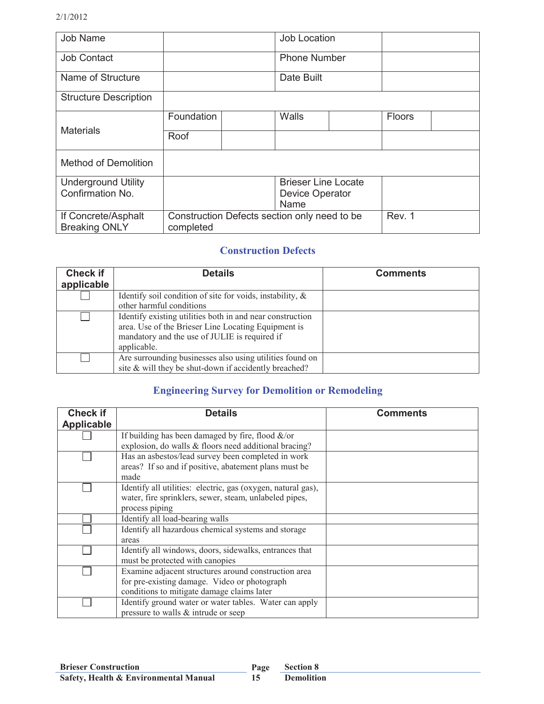| Job Name                     |                                              |  | Job Location        |        |        |  |
|------------------------------|----------------------------------------------|--|---------------------|--------|--------|--|
| <b>Job Contact</b>           |                                              |  | <b>Phone Number</b> |        |        |  |
| Name of Structure            |                                              |  | Date Built          |        |        |  |
| <b>Structure Description</b> |                                              |  |                     |        |        |  |
|                              | Foundation                                   |  | Walls               |        | Floors |  |
| <b>Materials</b>             | Roof                                         |  |                     |        |        |  |
| <b>Method of Demolition</b>  |                                              |  |                     |        |        |  |
| <b>Underground Utility</b>   | <b>Brieser Line Locate</b>                   |  |                     |        |        |  |
| Confirmation No.             |                                              |  | Device Operator     |        |        |  |
|                              |                                              |  | Name                |        |        |  |
| If Concrete/Asphalt          | Construction Defects section only need to be |  |                     | Rev. 1 |        |  |
| <b>Breaking ONLY</b>         | completed                                    |  |                     |        |        |  |

#### **Construction Defects**

| <b>Check if</b><br>applicable | <b>Details</b>                                               | <b>Comments</b> |
|-------------------------------|--------------------------------------------------------------|-----------------|
|                               | Identify soil condition of site for voids, instability, $\&$ |                 |
|                               | other harmful conditions                                     |                 |
|                               | Identify existing utilities both in and near construction    |                 |
|                               | area. Use of the Brieser Line Locating Equipment is          |                 |
|                               | mandatory and the use of JULIE is required if                |                 |
|                               | applicable.                                                  |                 |
|                               | Are surrounding businesses also using utilities found on     |                 |
|                               | site & will they be shut-down if accidently breached?        |                 |

### **Engineering Survey for Demolition or Remodeling**

| <b>Check if</b>   | <b>Details</b>                                               | <b>Comments</b> |
|-------------------|--------------------------------------------------------------|-----------------|
| <b>Applicable</b> |                                                              |                 |
|                   | If building has been damaged by fire, flood $\&$ /or         |                 |
|                   | explosion, do walls & floors need additional bracing?        |                 |
|                   | Has an asbestos/lead survey been completed in work           |                 |
|                   | areas? If so and if positive, abatement plans must be        |                 |
|                   | made                                                         |                 |
|                   | Identify all utilities: electric, gas (oxygen, natural gas), |                 |
|                   | water, fire sprinklers, sewer, steam, unlabeled pipes,       |                 |
|                   | process piping                                               |                 |
|                   | Identify all load-bearing walls                              |                 |
|                   | Identify all hazardous chemical systems and storage          |                 |
|                   | areas                                                        |                 |
|                   | Identify all windows, doors, sidewalks, entrances that       |                 |
|                   | must be protected with canopies                              |                 |
|                   | Examine adjacent structures around construction area         |                 |
|                   | for pre-existing damage. Video or photograph                 |                 |
|                   | conditions to mitigate damage claims later                   |                 |
|                   | Identify ground water or water tables. Water can apply       |                 |
|                   | pressure to walls & intrude or seep                          |                 |

**15**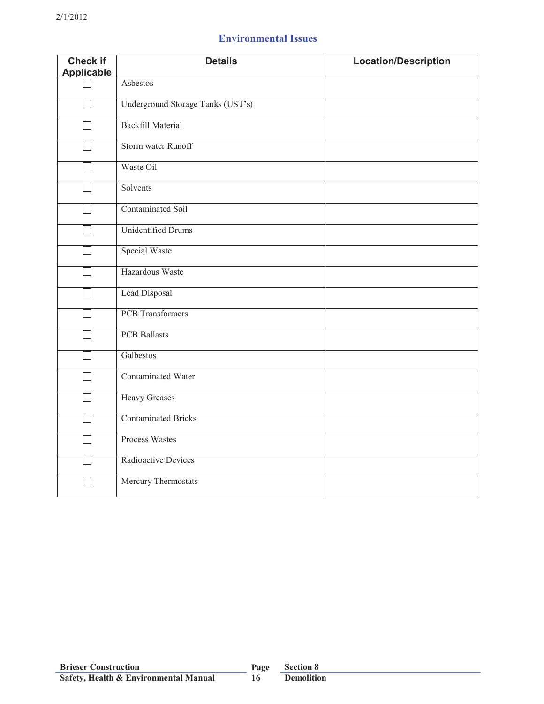## **Environmental Issues**

| <b>Check if</b>   | <b>Details</b>                    | <b>Location/Description</b> |
|-------------------|-----------------------------------|-----------------------------|
| <b>Applicable</b> |                                   |                             |
|                   | Asbestos                          |                             |
|                   | Underground Storage Tanks (UST's) |                             |
|                   | <b>Backfill Material</b>          |                             |
|                   | Storm water Runoff                |                             |
|                   | Waste Oil                         |                             |
|                   | Solvents                          |                             |
|                   | <b>Contaminated Soil</b>          |                             |
|                   | <b>Unidentified Drums</b>         |                             |
|                   | <b>Special Waste</b>              |                             |
|                   | Hazardous Waste                   |                             |
|                   | Lead Disposal                     |                             |
|                   | <b>PCB</b> Transformers           |                             |
|                   | <b>PCB</b> Ballasts               |                             |
|                   | Galbestos                         |                             |
|                   | Contaminated Water                |                             |
|                   | <b>Heavy Greases</b>              |                             |
|                   | <b>Contaminated Bricks</b>        |                             |
|                   | Process Wastes                    |                             |
|                   | Radioactive Devices               |                             |
|                   | Mercury Thermostats               |                             |

**16**